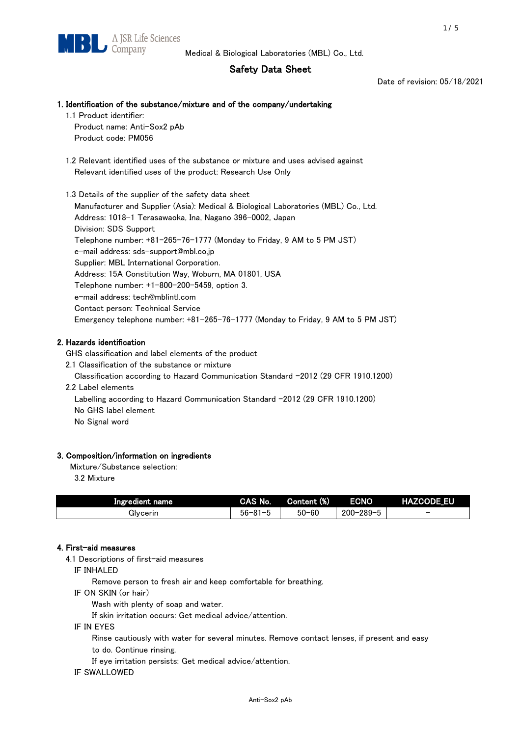# Safety Data Sheet

Date of revision: 05/18/2021

## 1. Identification of the substance/mixture and of the company/undertaking

1.1 Product identifier:

Product name: Anti-Sox2 pAb Product code: PM056

 1.2 Relevant identified uses of the substance or mixture and uses advised against Relevant identified uses of the product: Research Use Only

 1.3 Details of the supplier of the safety data sheet Manufacturer and Supplier (Asia): Medical & Biological Laboratories (MBL) Co., Ltd. Address: 1018-1 Terasawaoka, Ina, Nagano 396-0002, Japan Division: SDS Support Telephone number: +81-265-76-1777 (Monday to Friday, 9 AM to 5 PM JST) e-mail address: sds-support@mbl.co.jp Supplier: MBL International Corporation. Address: 15A Constitution Way, Woburn, MA 01801, USA Telephone number: +1-800-200-5459, option 3. e-mail address: tech@mblintl.com Contact person: Technical Service Emergency telephone number: +81-265-76-1777 (Monday to Friday, 9 AM to 5 PM JST)

# 2. Hazards identification

GHS classification and label elements of the product

2.1 Classification of the substance or mixture

Classification according to Hazard Communication Standard -2012 (29 CFR 1910.1200)

2.2 Label elements

Labelling according to Hazard Communication Standard -2012 (29 CFR 1910.1200) No GHS label element

No Signal word

#### 3. Composition/information on ingredients

Mixture/Substance selection:

3.2 Mixture

| Ingredient name | CAS No.          | Content (%) | <b>ECNO</b>                                         | <b>HAZCODE EU</b>        |
|-----------------|------------------|-------------|-----------------------------------------------------|--------------------------|
| Givcerin        | $56 - 81 -$<br>. | $50 - 60$   | $-289 - 5$<br>$\overline{\phantom{0}}$<br>$200 - 2$ | $\overline{\phantom{0}}$ |

#### 4. First-aid measures

4.1 Descriptions of first-aid measures

IF INHALED

Remove person to fresh air and keep comfortable for breathing.

IF ON SKIN (or hair)

Wash with plenty of soap and water.

If skin irritation occurs: Get medical advice/attention.

IF IN EYES

Rinse cautiously with water for several minutes. Remove contact lenses, if present and easy

to do. Continue rinsing.

If eye irritation persists: Get medical advice/attention.

IF SWALLOWED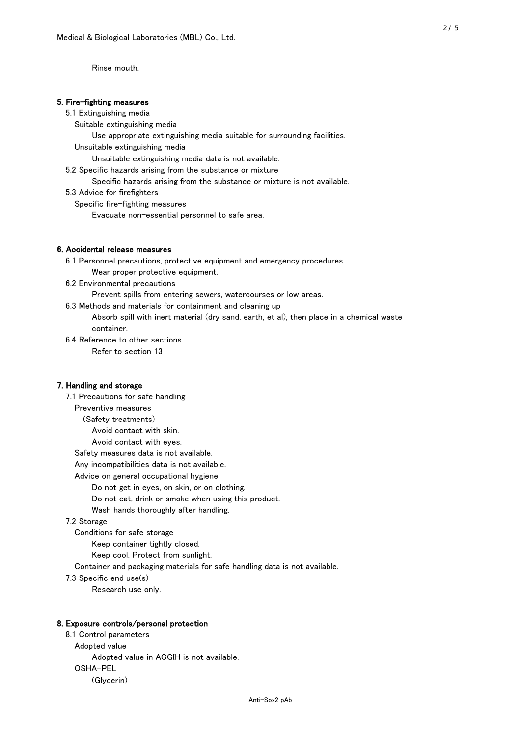Rinse mouth.

#### 5. Fire-fighting measures

#### 5.1 Extinguishing media

Suitable extinguishing media

Use appropriate extinguishing media suitable for surrounding facilities.

Unsuitable extinguishing media

Unsuitable extinguishing media data is not available.

5.2 Specific hazards arising from the substance or mixture

Specific hazards arising from the substance or mixture is not available.

5.3 Advice for firefighters

Specific fire-fighting measures

Evacuate non-essential personnel to safe area.

#### 6. Accidental release measures

 6.1 Personnel precautions, protective equipment and emergency procedures Wear proper protective equipment.

6.2 Environmental precautions

Prevent spills from entering sewers, watercourses or low areas.

6.3 Methods and materials for containment and cleaning up

 Absorb spill with inert material (dry sand, earth, et al), then place in a chemical waste container.

6.4 Reference to other sections

Refer to section 13

## 7. Handling and storage

 7.1 Precautions for safe handling Preventive measures (Safety treatments) Avoid contact with skin. Avoid contact with eyes. Safety measures data is not available. Any incompatibilities data is not available. Advice on general occupational hygiene Do not get in eyes, on skin, or on clothing. Do not eat, drink or smoke when using this product. Wash hands thoroughly after handling. 7.2 Storage Conditions for safe storage Keep container tightly closed. Keep cool. Protect from sunlight.

Container and packaging materials for safe handling data is not available.

7.3 Specific end use(s)

Research use only.

#### 8. Exposure controls/personal protection

 8.1 Control parameters Adopted value Adopted value in ACGIH is not available. OSHA-PEL (Glycerin)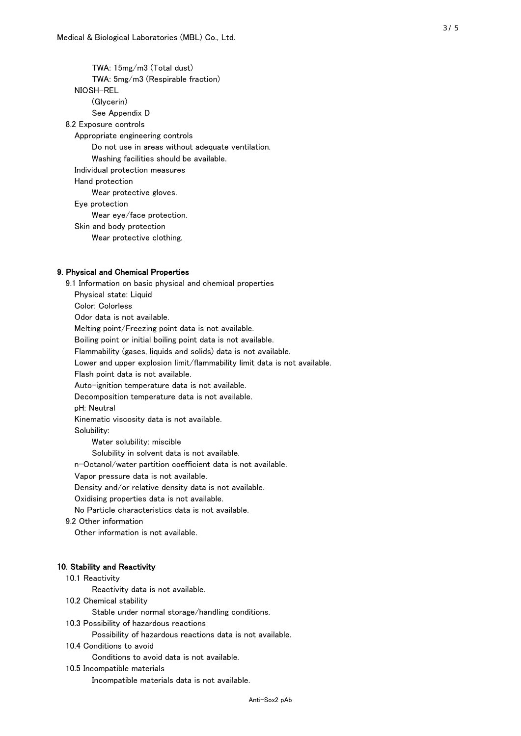TWA: 15mg/m3 (Total dust) TWA: 5mg/m3 (Respirable fraction) NIOSH-REL (Glycerin) See Appendix D 8.2 Exposure controls Appropriate engineering controls Do not use in areas without adequate ventilation. Washing facilities should be available. Individual protection measures Hand protection Wear protective gloves. Eye protection Wear eye/face protection. Skin and body protection Wear protective clothing.

#### 9. Physical and Chemical Properties

 9.1 Information on basic physical and chemical properties Physical state: Liquid Color: Colorless Odor data is not available. Melting point/Freezing point data is not available. Boiling point or initial boiling point data is not available. Flammability (gases, liquids and solids) data is not available. Lower and upper explosion limit/flammability limit data is not available. Flash point data is not available. Auto-ignition temperature data is not available. Decomposition temperature data is not available. pH: Neutral Kinematic viscosity data is not available. Solubility: Water solubility: miscible Solubility in solvent data is not available. n-Octanol/water partition coefficient data is not available. Vapor pressure data is not available. Density and/or relative density data is not available. Oxidising properties data is not available. No Particle characteristics data is not available. 9.2 Other information Other information is not available. 10. Stability and Reactivity 10.1 Reactivity Reactivity data is not available. 10.2 Chemical stability Stable under normal storage/handling conditions. 10.3 Possibility of hazardous reactions

Possibility of hazardous reactions data is not available.

10.4 Conditions to avoid

Conditions to avoid data is not available.

10.5 Incompatible materials

Incompatible materials data is not available.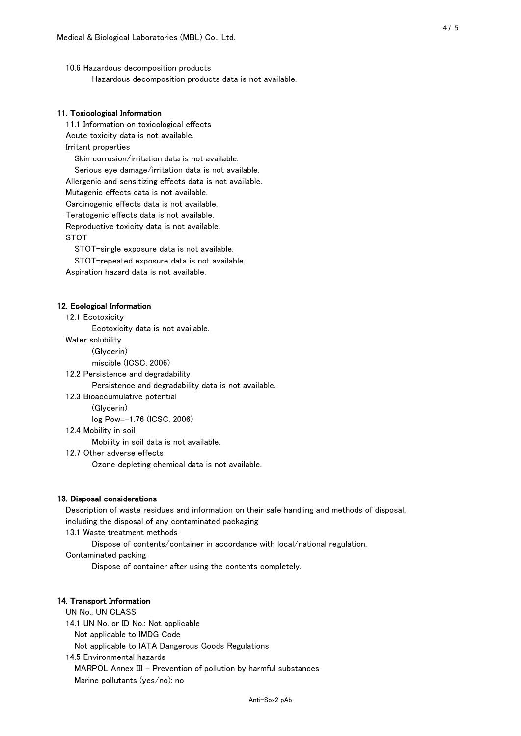10.6 Hazardous decomposition products Hazardous decomposition products data is not available.

## 11. Toxicological Information

 11.1 Information on toxicological effects Acute toxicity data is not available. Irritant properties Skin corrosion/irritation data is not available. Serious eye damage/irritation data is not available. Allergenic and sensitizing effects data is not available. Mutagenic effects data is not available. Carcinogenic effects data is not available. Teratogenic effects data is not available. Reproductive toxicity data is not available. STOT

STOT-single exposure data is not available.

STOT-repeated exposure data is not available.

Aspiration hazard data is not available.

#### 12. Ecological Information

12.1 Ecotoxicity

Ecotoxicity data is not available.

Water solubility

(Glycerin)

miscible (ICSC, 2006)

12.2 Persistence and degradability

Persistence and degradability data is not available.

12.3 Bioaccumulative potential

(Glycerin)

log Pow=-1.76 (ICSC, 2006)

12.4 Mobility in soil

Mobility in soil data is not available.

12.7 Other adverse effects

Ozone depleting chemical data is not available.

#### 13. Disposal considerations

 Description of waste residues and information on their safe handling and methods of disposal, including the disposal of any contaminated packaging

13.1 Waste treatment methods

Dispose of contents/container in accordance with local/national regulation.

Contaminated packing

Dispose of container after using the contents completely.

#### 14. Transport Information

 UN No., UN CLASS 14.1 UN No. or ID No.: Not applicable Not applicable to IMDG Code Not applicable to IATA Dangerous Goods Regulations

 14.5 Environmental hazards MARPOL Annex III - Prevention of pollution by harmful substances Marine pollutants (yes/no): no